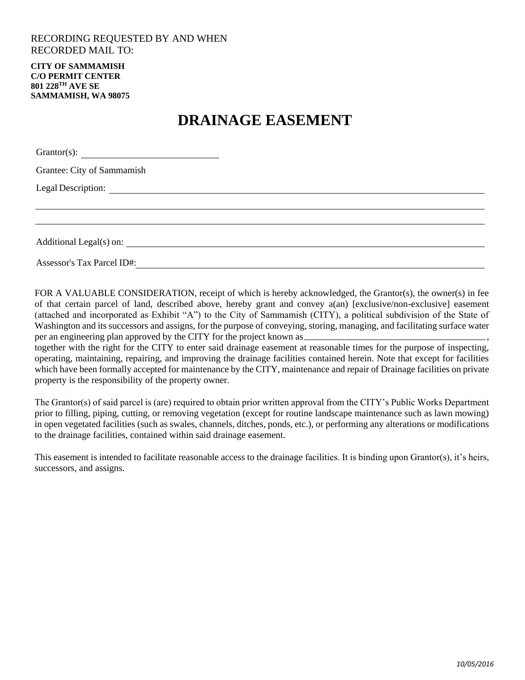## RECORDING REQUESTED BY AND WHEN RECORDED MAIL TO:

**CITY OF SAMMAMISH C/O PERMIT CENTER 801 228TH AVE SE SAMMAMISH, WA 98075**

## **DRAINAGE EASEMENT**

| Grantor(s):                |  |
|----------------------------|--|
| Grantee: City of Sammamish |  |
|                            |  |
|                            |  |
|                            |  |
|                            |  |
| Assessor's Tax Parcel ID#: |  |

FOR A VALUABLE CONSIDERATION, receipt of which is hereby acknowledged, the Grantor(s), the owner(s) in fee of that certain parcel of land, described above, hereby grant and convey a(an) [exclusive/non-exclusive] easement (attached and incorporated as Exhibit "A") to the City of Sammamish (CITY), a political subdivision of the State of Washington and its successors and assigns, for the purpose of conveying, storing, managing, and facilitating surface water per an engineering plan approved by the CITY for the project known as

together with the right for the CITY to enter said drainage easement at reasonable times for the purpose of inspecting, operating, maintaining, repairing, and improving the drainage facilities contained herein. Note that except for facilities which have been formally accepted for maintenance by the CITY, maintenance and repair of Drainage facilities on private property is the responsibility of the property owner.

The Grantor(s) of said parcel is (are) required to obtain prior written approval from the CITY's Public Works Department prior to filling, piping, cutting, or removing vegetation (except for routine landscape maintenance such as lawn mowing) in open vegetated facilities (such as swales, channels, ditches, ponds, etc.), or performing any alterations or modifications to the drainage facilities, contained within said drainage easement.

This easement is intended to facilitate reasonable access to the drainage facilities. It is binding upon Grantor(s), it's heirs, successors, and assigns.